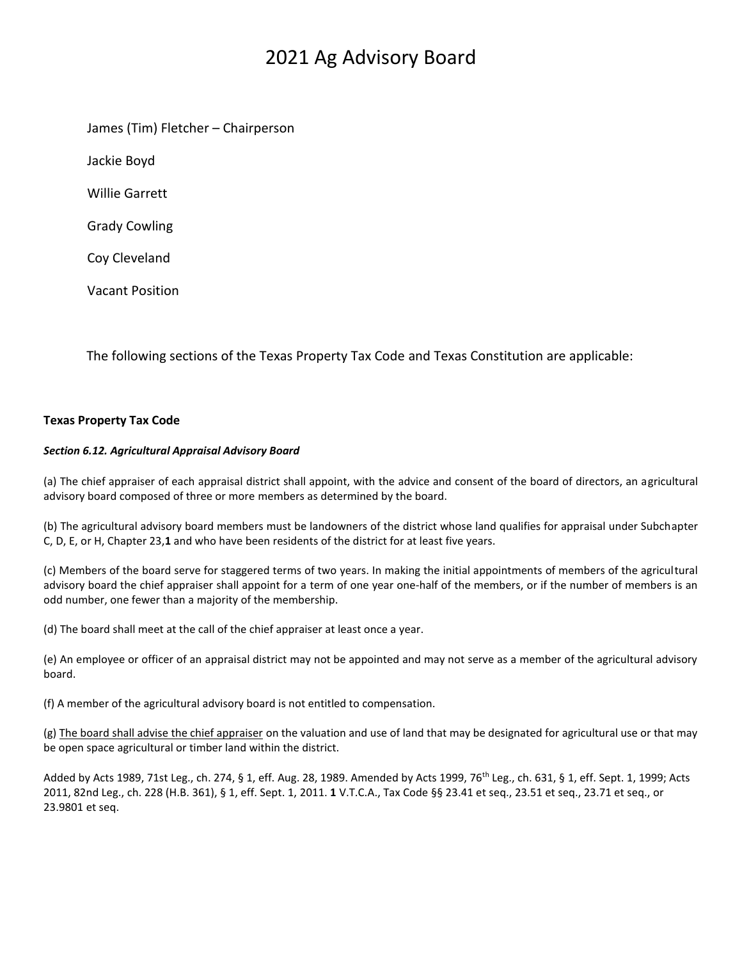# 2021 Ag Advisory Board

James (Tim) Fletcher – Chairperson

Jackie Boyd

Willie Garrett

Grady Cowling

Coy Cleveland

Vacant Position

The following sections of the Texas Property Tax Code and Texas Constitution are applicable:

### **Texas Property Tax Code**

#### *Section 6.12. Agricultural Appraisal Advisory Board*

(a) The chief appraiser of each appraisal district shall appoint, with the advice and consent of the board of directors, an agricultural advisory board composed of three or more members as determined by the board.

(b) The agricultural advisory board members must be landowners of the district whose land qualifies for appraisal under Subchapter C, D, E, or H, Chapter 23,**1** and who have been residents of the district for at least five years.

(c) Members of the board serve for staggered terms of two years. In making the initial appointments of members of the agricultural advisory board the chief appraiser shall appoint for a term of one year one-half of the members, or if the number of members is an odd number, one fewer than a majority of the membership.

(d) The board shall meet at the call of the chief appraiser at least once a year.

(e) An employee or officer of an appraisal district may not be appointed and may not serve as a member of the agricultural advisory board.

(f) A member of the agricultural advisory board is not entitled to compensation.

(g) The board shall advise the chief appraiser on the valuation and use of land that may be designated for agricultural use or that may be open space agricultural or timber land within the district.

Added by Acts 1989, 71st Leg., ch. 274, § 1, eff. Aug. 28, 1989. Amended by Acts 1999, 76<sup>th</sup> Leg., ch. 631, § 1, eff. Sept. 1, 1999; Acts 2011, 82nd Leg., ch. 228 (H.B. 361), § 1, eff. Sept. 1, 2011. **1** V.T.C.A., Tax Code §§ 23.41 et seq., 23.51 et seq., 23.71 et seq., or 23.9801 et seq.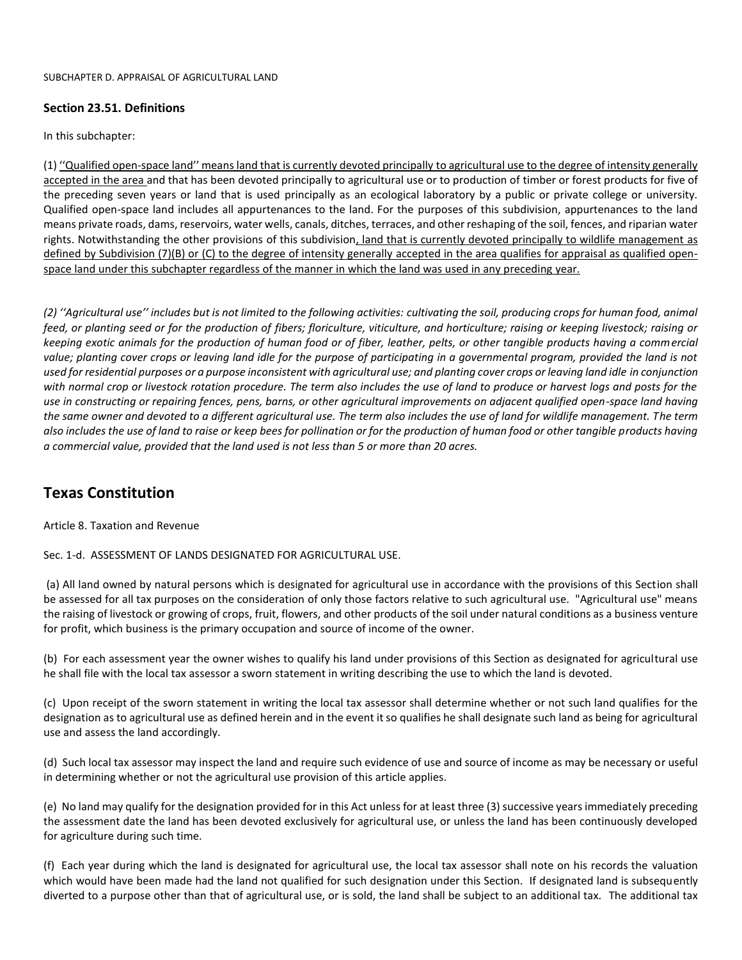#### **Section 23.51. Definitions**

In this subchapter:

(1) ''Qualified open-space land'' means land that is currently devoted principally to agricultural use to the degree of intensity generally accepted in the area and that has been devoted principally to agricultural use or to production of timber or forest products for five of the preceding seven years or land that is used principally as an ecological laboratory by a public or private college or university. Qualified open-space land includes all appurtenances to the land. For the purposes of this subdivision, appurtenances to the land means private roads, dams, reservoirs, water wells, canals, ditches, terraces, and other reshaping of the soil, fences, and riparian water rights. Notwithstanding the other provisions of this subdivision, land that is currently devoted principally to wildlife management as defined by Subdivision (7)(B) or (C) to the degree of intensity generally accepted in the area qualifies for appraisal as qualified openspace land under this subchapter regardless of the manner in which the land was used in any preceding year.

*(2) ''Agricultural use'' includes but is not limited to the following activities: cultivating the soil, producing crops for human food, animal feed, or planting seed or for the production of fibers; floriculture, viticulture, and horticulture; raising or keeping livestock; raising or keeping exotic animals for the production of human food or of fiber, leather, pelts, or other tangible products having a commercial value; planting cover crops or leaving land idle for the purpose of participating in a governmental program, provided the land is not used for residential purposes or a purpose inconsistent with agricultural use; and planting cover crops or leaving land idle in conjunction with normal crop or livestock rotation procedure. The term also includes the use of land to produce or harvest logs and posts for the use in constructing or repairing fences, pens, barns, or other agricultural improvements on adjacent qualified open-space land having the same owner and devoted to a different agricultural use. The term also includes the use of land for wildlife management. The term also includes the use of land to raise or keep bees for pollination or for the production of human food or other tangible products having a commercial value, provided that the land used is not less than 5 or more than 20 acres.*

## **Texas Constitution**

#### Article 8. Taxation and Revenue

Sec. 1-d. ASSESSMENT OF LANDS DESIGNATED FOR AGRICULTURAL USE.

(a) All land owned by natural persons which is designated for agricultural use in accordance with the provisions of this Section shall be assessed for all tax purposes on the consideration of only those factors relative to such agricultural use. "Agricultural use" means the raising of livestock or growing of crops, fruit, flowers, and other products of the soil under natural conditions as a business venture for profit, which business is the primary occupation and source of income of the owner.

(b) For each assessment year the owner wishes to qualify his land under provisions of this Section as designated for agricultural use he shall file with the local tax assessor a sworn statement in writing describing the use to which the land is devoted.

(c) Upon receipt of the sworn statement in writing the local tax assessor shall determine whether or not such land qualifies for the designation as to agricultural use as defined herein and in the event it so qualifies he shall designate such land as being for agricultural use and assess the land accordingly.

(d) Such local tax assessor may inspect the land and require such evidence of use and source of income as may be necessary or useful in determining whether or not the agricultural use provision of this article applies.

(e) No land may qualify for the designation provided for in this Act unless for at least three (3) successive years immediately preceding the assessment date the land has been devoted exclusively for agricultural use, or unless the land has been continuously developed for agriculture during such time.

(f) Each year during which the land is designated for agricultural use, the local tax assessor shall note on his records the valuation which would have been made had the land not qualified for such designation under this Section. If designated land is subsequently diverted to a purpose other than that of agricultural use, or is sold, the land shall be subject to an additional tax. The additional tax